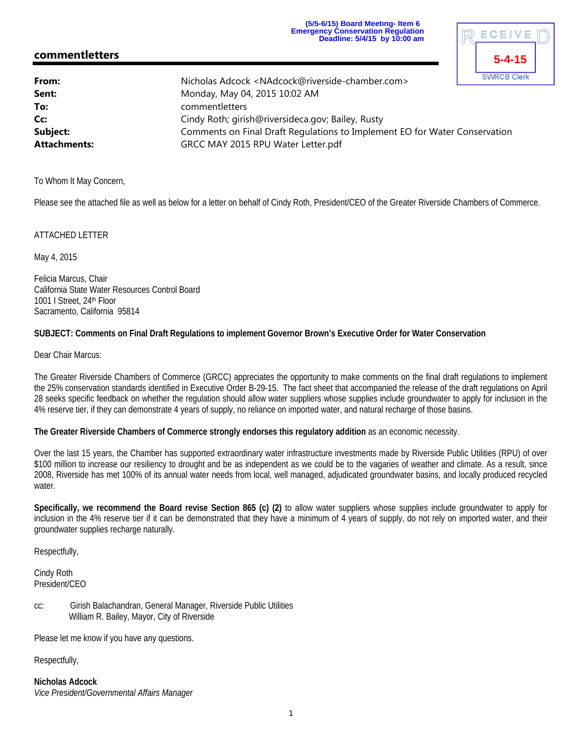**(5/5-6/15) Board Meeting- Item 6 Emergency Conservation Regulation Deadline: 5/4/15 by 10:00 am**

**5-4-15**

# **commentletters**

|                                                                            | <b>SWRCB Clerk</b>                                                              |
|----------------------------------------------------------------------------|---------------------------------------------------------------------------------|
|                                                                            |                                                                                 |
| Monday, May 04, 2015 10:02 AM                                              |                                                                                 |
| commentletters                                                             |                                                                                 |
| Cindy Roth; girish@riversideca.gov; Bailey, Rusty                          |                                                                                 |
| Comments on Final Draft Regulations to Implement EO for Water Conservation |                                                                                 |
| GRCC MAY 2015 RPU Water Letter.pdf                                         |                                                                                 |
|                                                                            | Nicholas Adcock <nadcock@riverside-chamber.com></nadcock@riverside-chamber.com> |

To Whom It May Concern,

Please see the attached file as well as below for a letter on behalf of Cindy Roth, President/CEO of the Greater Riverside Chambers of Commerce.

#### ATTACHED LETTER

May 4, 2015

Felicia Marcus, Chair California State Water Resources Control Board 1001 I Street, 24th Floor Sacramento, California 95814

#### **SUBJECT: Comments on Final Draft Regulations to implement Governor Brown's Executive Order for Water Conservation**

Dear Chair Marcus:

The Greater Riverside Chambers of Commerce (GRCC) appreciates the opportunity to make comments on the final draft regulations to implement the 25% conservation standards identified in Executive Order B-29-15. The fact sheet that accompanied the release of the draft regulations on April 28 seeks specific feedback on whether the regulation should allow water suppliers whose supplies include groundwater to apply for inclusion in the 4% reserve tier, if they can demonstrate 4 years of supply, no reliance on imported water, and natural recharge of those basins.

**The Greater Riverside Chambers of Commerce strongly endorses this regulatory addition** as an economic necessity.

Over the last 15 years, the Chamber has supported extraordinary water infrastructure investments made by Riverside Public Utilities (RPU) of over \$100 million to increase our resiliency to drought and be as independent as we could be to the vagaries of weather and climate. As a result, since 2008, Riverside has met 100% of its annual water needs from local, well managed, adjudicated groundwater basins, and locally produced recycled water.

**Specifically, we recommend the Board revise Section 865 (c) (2)** to allow water suppliers whose supplies include groundwater to apply for inclusion in the 4% reserve tier if it can be demonstrated that they have a minimum of 4 years of supply, do not rely on imported water, and their groundwater supplies recharge naturally.

Respectfully,

Cindy Roth President/CEO

cc: Girish Balachandran, General Manager, Riverside Public Utilities William R. Bailey, Mayor, City of Riverside

Please let me know if you have any questions.

Respectfully,

**Nicholas Adcock** *Vice President/Governmental Affairs Manager*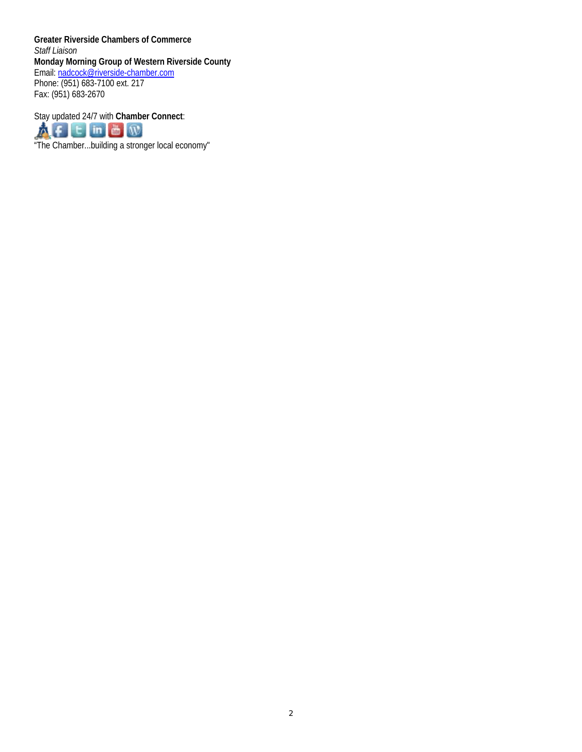**Greater Riverside Chambers of Commerce** *Staff Liaison* **Monday Morning Group of Western Riverside County** Email: nadcock@riverside-chamber.com Phone: (951) 683-7100 ext. 217 Fax: (951) 683-2670

Stay updated 24/7 with **Chamber Connect**: THE In **B**<br>
The Chamber...building a stronger local economy"